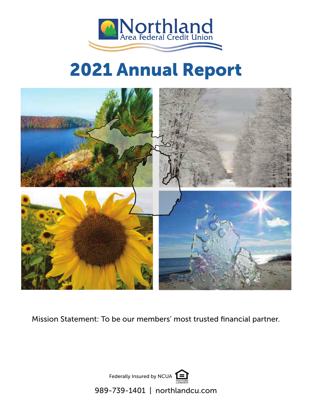

# **2021 Annual Report**



Mission Statement: To be our members' most trusted financial partner.

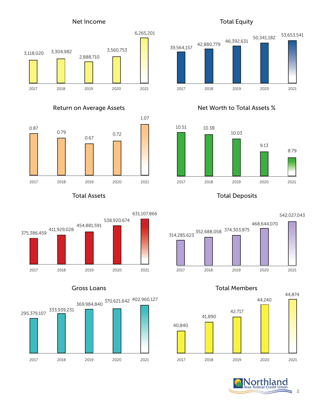### Net Income





### Total Assets





### Total Equity



## Return on Average Assets Net Worth to Total Assets %



Total Deposits



Gross Loans **Total Members** 



2.

g.

**Orthland**<br>a Federal Credit Union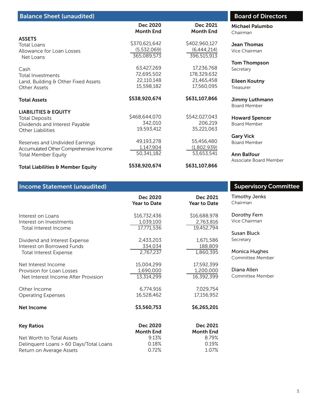| <b>Balance Sheet (unaudited)</b>       |                              |                              | <b>Board of Directors</b>          |
|----------------------------------------|------------------------------|------------------------------|------------------------------------|
|                                        | Dec 2020<br><b>Month End</b> | Dec 2021<br><b>Month End</b> | <b>Michael Palumbo</b><br>Chairman |
| <b>ASSETS</b>                          |                              |                              |                                    |
| Total Loans                            | \$370,621,642                | \$402,960,127                | <b>Jean Thomas</b>                 |
| Allowance for Loan Losses              | (5,532,069)                  | (6,444,214)                  | Vice Chairman                      |
| Net Loans                              | 365,089,573                  | 396,515,913                  |                                    |
|                                        |                              |                              | <b>Tom Thompson</b>                |
| Cash                                   | 63,427,269                   | 17,236,768                   | Secretary                          |
| <b>Total Investments</b>               | 72,695,502                   | 178,329,632                  |                                    |
| Land, Building & Other Fixed Assets    | 22,110,148                   | 21,465,458                   | <b>Eileen Koutny</b>               |
| <b>Other Assets</b>                    | 15,598,182                   | 17,560,095                   | Treasurer                          |
| <b>Total Assets</b>                    | \$538,920,674                | \$631,107,866                | Jimmy Luthmann                     |
|                                        |                              |                              | <b>Board Member</b>                |
| <b>LIABILITIES &amp; EQUITY</b>        |                              |                              |                                    |
| <b>Total Deposits</b>                  | \$468,644,070                | \$542,027,043                | <b>Howard Spencer</b>              |
| Dividends and Interest Payable         | 342,010                      | 206,219                      | <b>Board Member</b>                |
| <b>Other Liabilities</b>               | 19,593,412                   | 35,221,063                   |                                    |
|                                        |                              |                              | <b>Gary Vick</b>                   |
| Reserves and Undivided Earnings        | 49,193,278                   | 55,456,480                   | <b>Board Member</b>                |
| Accumulated Other Comprehensive Income | 1,147,904                    | (1,802,939)                  |                                    |
| <b>Total Member Equity</b>             | 50,341,182                   | 53,653,541                   | <b>Ann Balfour</b>                 |
|                                        |                              |                              | Associate Board Member             |
| Total Liabilities & Member Equity      | \$538,920,674                | \$631,107,866                |                                    |

| <b>Income Statement (unaudited)</b>                                                     |                                       |                                       | <b>Supervisory Committee</b>    |
|-----------------------------------------------------------------------------------------|---------------------------------------|---------------------------------------|---------------------------------|
|                                                                                         | Dec 2020                              | Dec 2021                              | <b>Timothy Jenks</b>            |
|                                                                                         | <b>Year to Date</b>                   | <b>Year to Date</b>                   | Chairman                        |
| Interest on Loans                                                                       | \$16,732,436                          | \$16,688,978                          | Dorothy Fern                    |
| Interest on Investments                                                                 | 1,039,100                             | 2,763,816                             | Vice Chairman                   |
| <b>Total Interest Income</b>                                                            | 17,771,536                            | 19,452,794                            | Susan Bluck                     |
| Dividend and Interest Expense                                                           | 2,433,203                             | 1,671,586                             | Secretary                       |
| Interest on Borrowed Funds                                                              | 334,034                               | 188,809                               | <b>Monica Hughes</b>            |
| <b>Total Interest Expense</b>                                                           | 2,767,237                             | 1,860,395                             | Committee Member                |
| Net Interest Income<br>Provision for Loan Losses<br>Net Interest Income After Provision | 15,004,299<br>1,690,000<br>13,314,299 | 17,592,399<br>1,200,000<br>16,392,399 | Diana Allen<br>Committee Member |
| Other Income                                                                            | 6,774,916                             | 7,029,754                             |                                 |
| <b>Operating Expenses</b>                                                               | 16,528,462                            | 17,156,952                            |                                 |
| <b>Net Income</b>                                                                       | \$3,560,753                           | \$6,265,201                           |                                 |
| <b>Key Ratios</b>                                                                       | Dec 2020<br><b>Month End</b>          | Dec 2021<br><b>Month End</b>          |                                 |
| Net Worth to Total Assets                                                               | 9.13%                                 | 8.79%                                 |                                 |
| Delinquent Loans > 60 Days/Total Loans                                                  | 0.18%                                 | 0.19%                                 |                                 |
| Return on Average Assets                                                                | 0.72%                                 | 1.07%                                 |                                 |